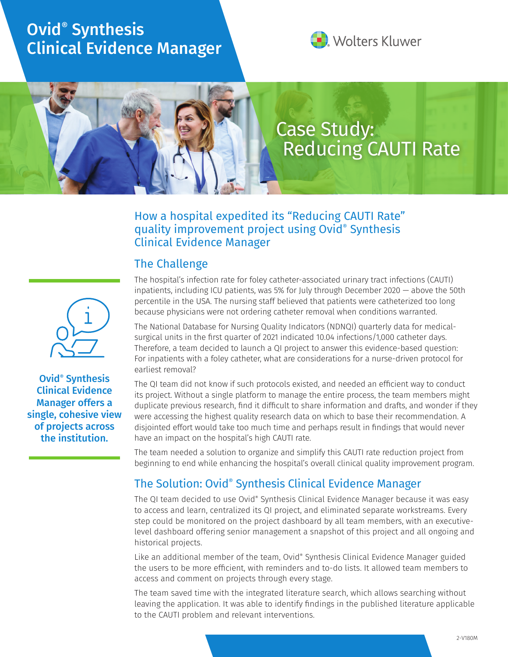# Ovid® Synthesis Clinical Evidence Manager



# Case Study: Reducing CAUTI Rate

#### How a hospital expedited its "Reducing CAUTI Rate" quality improvement project using Ovid® Synthesis Clinical Evidence Manager

## The Challenge

Ovid® Synthesis Clinical Evidence Manager offers a single, cohesive view of projects across the institution.

The hospital's infection rate for foley catheter-associated urinary tract infections (CAUTI) inpatients, including ICU patients, was 5% for July through December 2020 — above the 50th percentile in the USA. The nursing staff believed that patients were catheterized too long because physicians were not ordering catheter removal when conditions warranted.

The National Database for Nursing Quality Indicators (NDNQI) quarterly data for medicalsurgical units in the first quarter of 2021 indicated 10.04 infections/1,000 catheter days. Therefore, a team decided to launch a QI project to answer this evidence-based question: For inpatients with a foley catheter, what are considerations for a nurse-driven protocol for earliest removal?

The QI team did not know if such protocols existed, and needed an efficient way to conduct its project. Without a single platform to manage the entire process, the team members might duplicate previous research, find it difficult to share information and drafts, and wonder if they were accessing the highest quality research data on which to base their recommendation. A disjointed effort would take too much time and perhaps result in findings that would never have an impact on the hospital's high CAUTI rate.

The team needed a solution to organize and simplify this CAUTI rate reduction project from beginning to end while enhancing the hospital's overall clinical quality improvement program.

# The Solution: Ovid® Synthesis Clinical Evidence Manager

The QI team decided to use Ovid® Synthesis Clinical Evidence Manager because it was easy to access and learn, centralized its QI project, and eliminated separate workstreams. Every step could be monitored on the project dashboard by all team members, with an executivelevel dashboard offering senior management a snapshot of this project and all ongoing and historical projects.

Like an additional member of the team, Ovid® Synthesis Clinical Evidence Manager guided the users to be more efficient, with reminders and to-do lists. It allowed team members to access and comment on projects through every stage.

The team saved time with the integrated literature search, which allows searching without leaving the application. It was able to identify findings in the published literature applicable to the CAUTI problem and relevant interventions.